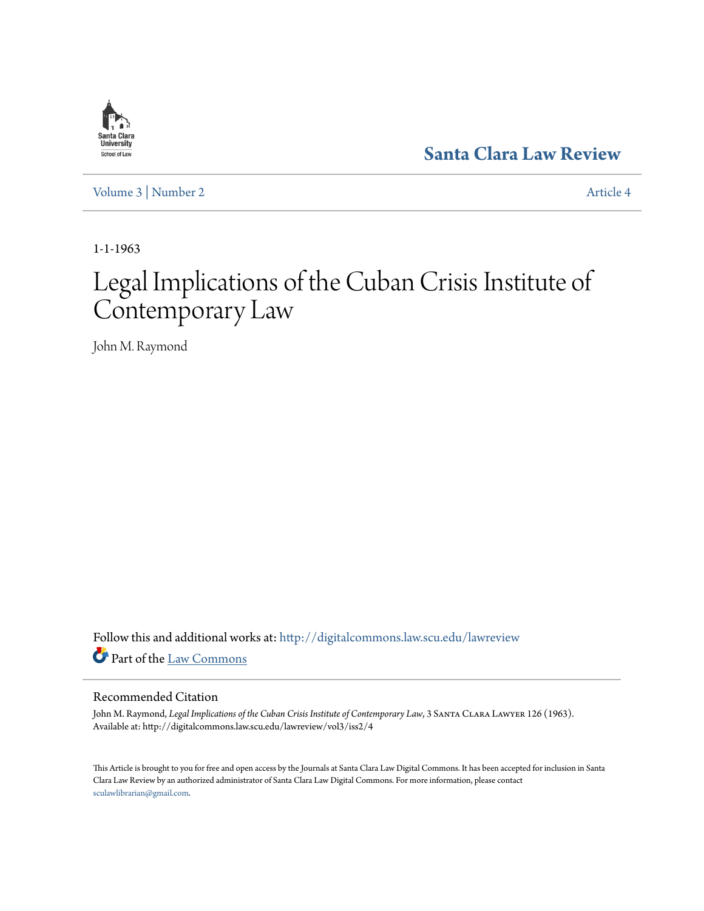

**[Santa Clara Law Review](http://digitalcommons.law.scu.edu/lawreview?utm_source=digitalcommons.law.scu.edu%2Flawreview%2Fvol3%2Fiss2%2F4&utm_medium=PDF&utm_campaign=PDFCoverPages)**

[Volume 3](http://digitalcommons.law.scu.edu/lawreview/vol3?utm_source=digitalcommons.law.scu.edu%2Flawreview%2Fvol3%2Fiss2%2F4&utm_medium=PDF&utm_campaign=PDFCoverPages) | [Number 2](http://digitalcommons.law.scu.edu/lawreview/vol3/iss2?utm_source=digitalcommons.law.scu.edu%2Flawreview%2Fvol3%2Fiss2%2F4&utm_medium=PDF&utm_campaign=PDFCoverPages) [Article 4](http://digitalcommons.law.scu.edu/lawreview/vol3/iss2/4?utm_source=digitalcommons.law.scu.edu%2Flawreview%2Fvol3%2Fiss2%2F4&utm_medium=PDF&utm_campaign=PDFCoverPages)

1-1-1963

# Legal Implications of the Cuban Crisis Institute of Contemporary Law

John M. Raymond

Follow this and additional works at: [http://digitalcommons.law.scu.edu/lawreview](http://digitalcommons.law.scu.edu/lawreview?utm_source=digitalcommons.law.scu.edu%2Flawreview%2Fvol3%2Fiss2%2F4&utm_medium=PDF&utm_campaign=PDFCoverPages) Part of the [Law Commons](http://network.bepress.com/hgg/discipline/578?utm_source=digitalcommons.law.scu.edu%2Flawreview%2Fvol3%2Fiss2%2F4&utm_medium=PDF&utm_campaign=PDFCoverPages)

### Recommended Citation

John M. Raymond, *Legal Implications of the Cuban Crisis Institute of Contemporary Law*, 3 Santa Clara Lawyer 126 (1963). Available at: http://digitalcommons.law.scu.edu/lawreview/vol3/iss2/4

This Article is brought to you for free and open access by the Journals at Santa Clara Law Digital Commons. It has been accepted for inclusion in Santa Clara Law Review by an authorized administrator of Santa Clara Law Digital Commons. For more information, please contact [sculawlibrarian@gmail.com](mailto:sculawlibrarian@gmail.com).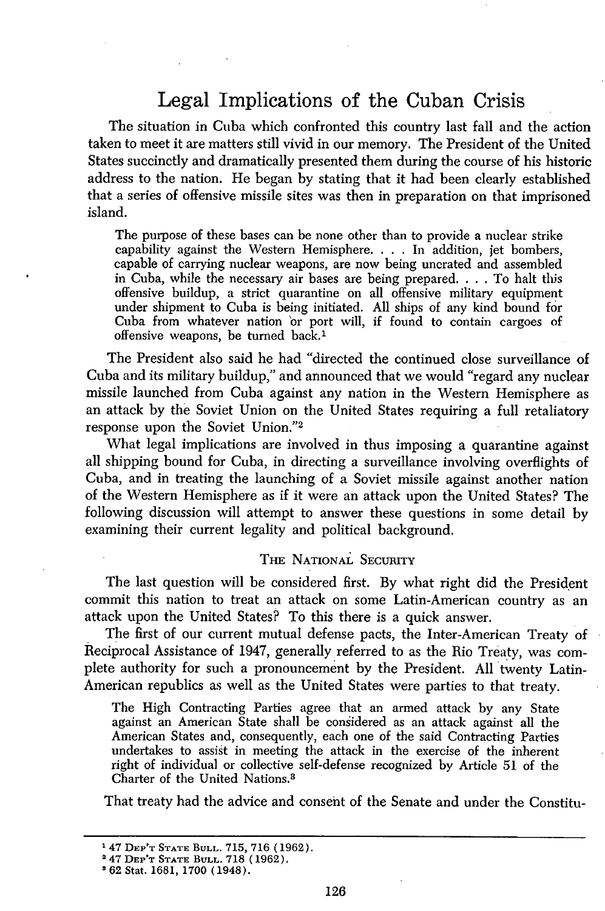## Legal Implications of the Cuban Crisis

The situation in Cuba which confronted this country last fall and the action taken to meet it are matters still vivid in our memory. The President of the United States succinctly and dramatically presented them during the course of his historic address to the nation. He began by stating that it had been clearly established that a series of offensive missile sites was then in preparation on that imprisoned island.

The purpose of these bases can be none other than to provide a nuclear strike capability against the Western Hemisphere. . **.** .In addition, jet bombers, capable of carrying nuclear weapons, are now being uncrated and assembled in Cuba, while the necessary air bases are being prepared. . **.** .To halt this offensive buildup, a strict quarantine on all offensive military equipment under shipment to Cuba is being initiated. All ships of any kind bound for Cuba from whatever nation or port will, if found to contain cargoes of offensive weapons, be turned back.1

The President also said he had "directed the continued close surveillance of Cuba and its military buildup," and announced that we would "regard any nuclear missile launched from Cuba against any nation in the Western Hemisphere as an attack by the Soviet Union on the United States requiring a full retaliatory response upon the Soviet Union."<sup>2</sup>

What legal implications are involved in thus imposing a quarantine against all shipping bound for Cuba, in directing a surveillance involving overflights of Cuba, and in treating the launching of a Soviet missile against another nation of the Western Hemisphere as if it were an attack upon the United States? The following discussion will attempt to answer these questions in some detail by examining their current legality and political background.

#### THE NATIONAL SECURITY

The last question will be considered first. By what right did the President commit this nation to treat an attack on some Latin-American country as an attack upon the United States? To this there is a quick answer.

The first of our current mutual defense pacts, the Inter-American Treaty of Reciprocal Assistance of 1947, generally referred to as the Rio Treaty, was complete authority for such a pronouncement by the President. All twenty Latin-American republics as well as the United States were parties to that treaty.

The High Contracting Parties agree that an armed attack by any State against an American State shall be considered as an attack against all the American States and, consequently, each one of the said Contracting Parties undertakes to assist in meeting the attack in the exercise of the inherent right of individual or collective self-defense recognized by Article 51 of the Charter of the United Nations. <sup>3</sup>

That treaty had the advice and consent of the Senate and under the Constitu-

<sup>&#</sup>x27; 47 **DEP'T STATE BULL.** 715, **716** (1962).

<sup>2</sup> 47 **DEP'T STATE BULL. 718** (1962).

<sup>&#</sup>x27;62 Stat. 1681, 1700 (1948).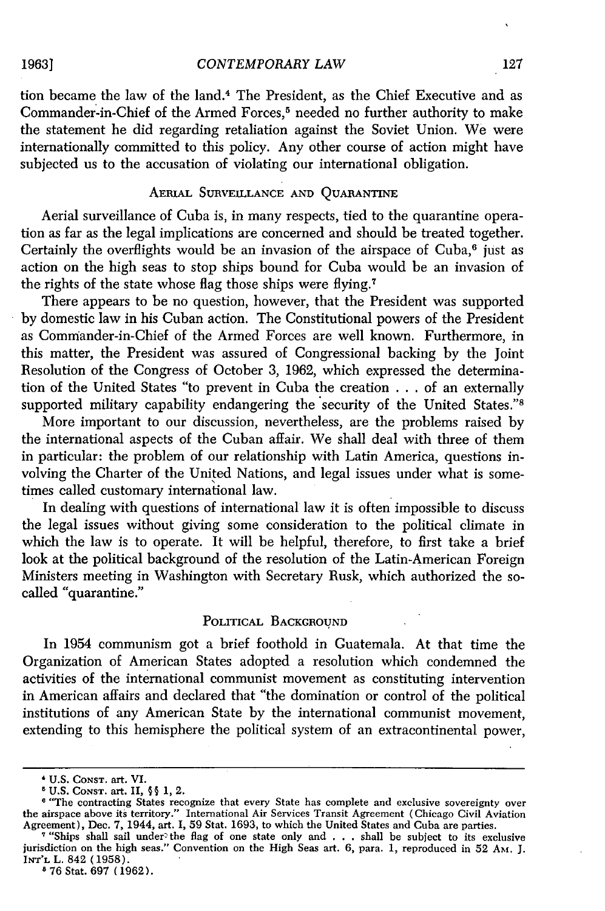*CONTEMPORARY LAW*

tion became the law of the land. 4 The President, as the Chief Executive and as Commander-in-Chief of the Armed Forces,<sup>5</sup> needed no further authority to make the statement he did regarding retaliation against the Soviet Union. We were internationally committed to this policy. Any other course of action might have subjected us to the accusation of violating our international obligation.

#### **AERIAL** SURVEILLANCE AND QUARANTINE

Aerial surveillance of Cuba is, in many respects, tied to the quarantine operation as far as the legal implications are concerned and should be treated together. Certainly the overflights would be an invasion of the airspace of Cuba,<sup>6</sup> just as action on the high seas to stop ships bound for Cuba would be an invasion of the rights of the state whose flag those ships were flying.<sup>7</sup>

There appears to be no question, however, that the President was supported by domestic law in his Cuban action. The Constitutional powers of the President as Commander-in-Chief of the Armed Forces are well known. Furthermore, in this matter, the President was assured of Congressional backing by the Joint Resolution of the Congress of October 3, 1962, which expressed the determination of the United States "to prevent in Cuba the creation . . . of an externally supported military capability endangering the security of the United States."<sup>8</sup>

More important to our discussion, nevertheless, are the problems raised by the international aspects of the Cuban affair. We shall deal with three of them in particular: the problem of our relationship with Latin America, questions involving the Charter of the United Nations, and legal issues under what is sometimes called customary international law.

In dealing with questions of international law it is often impossible to discuss the legal issues without giving some consideration to the political climate in which the law is to operate. It will be helpful, therefore, to first take a brief look at the political background of the resolution of the Latin-American Foreign Ministers meeting in Washington with Secretary Rusk, which authorized the socalled "quarantine."

#### POLITICAL BACKGROUND

In 1954 communism got a brief foothold in Guatemala. At that time the Organization of American States adopted a resolution which condemned the activities of the international communist movement as constituting intervention in American affairs and declared that "the domination or control of the political institutions of any American State by the international communist movement, extending to this hemisphere the political system of an extracontinental power,

**8 76** Stat. **697 (1962).**

**<sup>\*</sup> U.S. Const. art. VI.<br><sup>5</sup> U.S. Const. art. II, ∮∮ 1, 2.<br><sup>6 't</sup>The contracting States recognize that every State has complete and exclusive sovereignty over** the airspace above its territory." International Air Services Transit Agreement (Chicago Civil Aviation Agreement), Dec. 7, 1944, art. I, 59 Stat. 1693, to which the United States and Cuba are parties.<br><sup>7</sup> "Ships shall sail under the flag of one state only and . . . shall be subject to its exclusive

<sup>&</sup>lt;sup>7</sup> "Ships shall sail under the flag of one state only and . . . shall be subject to its exclusive jurisdiction on the high seas." Convention on the High Seas art. 6, para. 1, reproduced in 52 Am. J. **INT'rL** L. 842 **(1958).**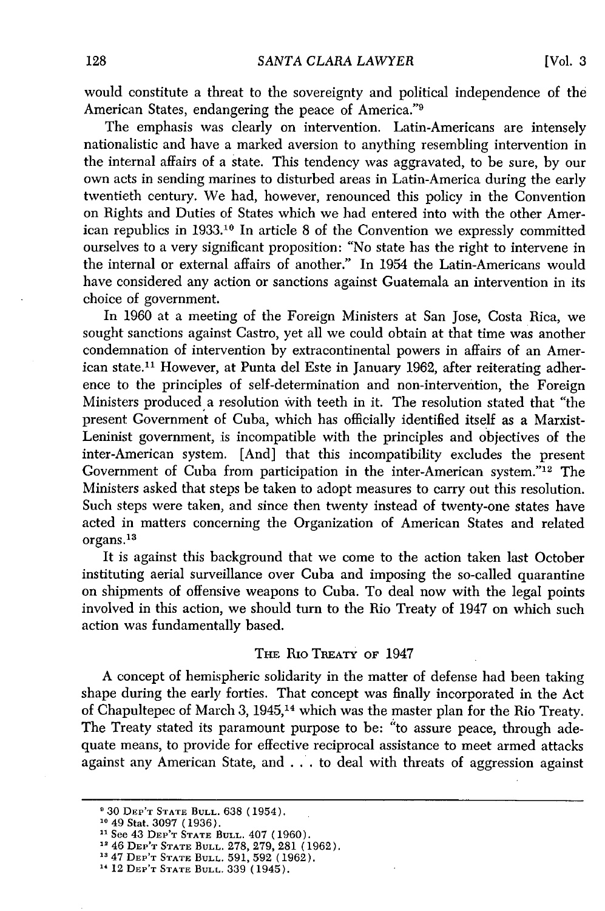would constitute a threat to the sovereignty and political independence of the American States, endangering the peace of America."<sup>9</sup>

The emphasis was clearly on intervention. Latin-Americans are intensely nationalistic and have a marked aversion to anything resembling intervention in the internal affairs of a state. This tendency was aggravated, to be sure, by our own acts in sending marines to disturbed areas in Latin-America during the early twentieth century. We had, however, renounced this policy in the Convention on Rights and Duties of States which we had entered into with the other American republics in 1933.10 In article 8 of the Convention we expressly committed ourselves to a very significant proposition: "No state has the right to intervene in the internal or external affairs of another." In 1954 the Latin-Americans would have considered any action or sanctions against Guatemala an intervention in its choice of government.

In 1960 at a meeting of the Foreign Ministers at San Jose, Costa Rica, we sought sanctions against Castro, yet all we could obtain at that time was another condemnation of intervention by extracontinental powers in affairs of an American state.<sup>11</sup> However, at Punta del Este in January 1962, after reiterating adherence to the principles of self-determination and non-intervention, the Foreign Ministers produced a resolution with teeth in it. The resolution stated that "the present Government of Cuba, which has officially identified itself as a Marxist-Leninist government, is incompatible with the principles and objectives of the inter-American system. [And] that this incompatibility excludes the present Government of Cuba from participation in the inter-American system."'12 The Ministers asked that steps be taken to adopt measures to carry out this resolution. Such steps were taken, and since then twenty instead of twenty-one states have acted in matters concerning the Organization of American States and related organs.<sup>13</sup>

It is against this background that we come to the action taken last October instituting aerial surveillance over Cuba and imposing the so-called quarantine on shipments of offensive weapons to Cuba. To deal now with the legal points involved in this action, we should turn to the Rio Treaty of 1947 on which such action was fundamentally based.

#### **THE** Rio TREATY OF 1947

A concept of hemispheric solidarity in the matter of defense had been taking shape during the early forties. That concept was finally incorporated in the Act of Chapultepec of March 3, 1945,14 which was the master plan for the Rio Treaty. The Treaty stated its paramount purpose to be: "to assure peace, through adequate means, to provide for effective reciprocal assistance to meet armed attacks against any American State, and . .. to deal with threats of aggression against

<sup>&#</sup>x27;30 DEP'T **STATE BULL.** 638 (1954).

**<sup>10</sup>**49 Stat. 3097 (1936).

<sup>&</sup>lt;sup>11</sup> See 43 DEP'T STATE BULL. 407 (1960).

<sup>&</sup>lt;sup>12</sup> 46 DEP'T STATE BULL. 278, 279, 281 (1962).

<sup>147</sup> DEP'T **STATE BULL.** 591, 592 (1962).

<sup>&</sup>quot;12 DEP'T **STATE BULL.** 339 (1945).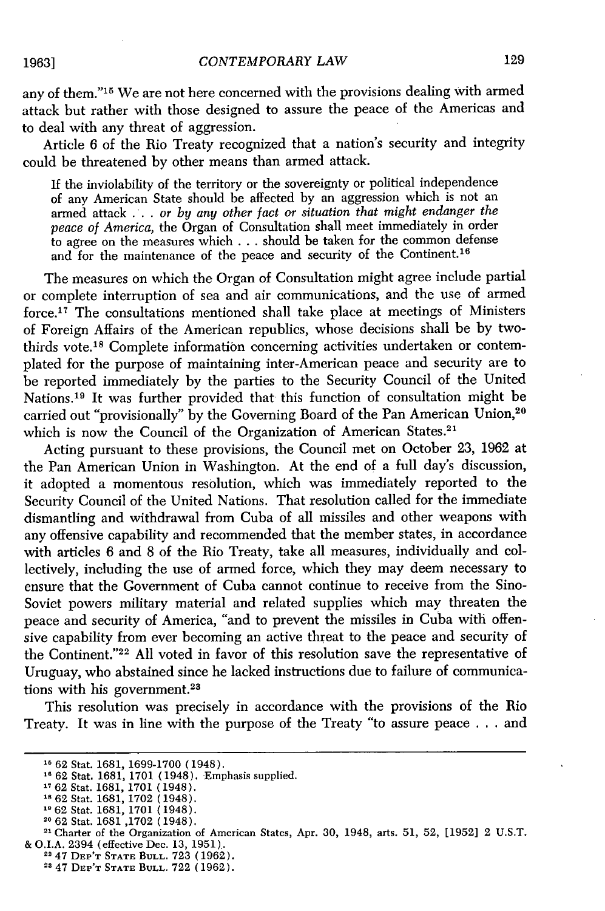any of them."<sup>15</sup> We are not here concerned with the provisions dealing with armed attack but rather with those designed to assure the peace of the Americas and to deal with any threat of aggression.

Article 6 of the Rio Treaty recognized that a nation's security and integrity could be threatened by other means than armed attack.

If the inviolability of the territory or the sovereignty or political independence of any American State should be affected by an aggression which is not an armed attack . **.** . *or by any other fact or situation that might endanger the peace of America,* the Organ of Consultation shall meet immediately in order to agree on the measures which . . . should be taken for the common defense and for the maintenance of the peace and security of the Continent.<sup>16</sup>

The measures on which the Organ of Consultation might agree include partial or complete interruption of sea and air communications, and the use of armed force.<sup>17</sup> The consultations mentioned shall take place at meetings of Ministers of Foreign Affairs of the American republics, whose decisions shall be by twothirds vote.<sup>18</sup> Complete information concerning activities undertaken or contemplated for the purpose of maintaining inter-American peace and security are to be reported immediately by the parties to the Security Council of the United Nations. 19 It was further provided that this function of consultation might be carried out "provisionally" by the Governing Board of the Pan American Union,<sup>20</sup> which is now the Council of the Organization of American States.<sup>21</sup>

Acting pursuant to these provisions, the Council met on October 23, 1962 at the Pan American Union in Washington. At the end of a full day's discussion, it adopted a momentous resolution, which was immediately reported to the Security Council of the United Nations. That resolution called for the immediate dismantling and withdrawal from Cuba of all missiles and other weapons with any offensive capability and recommended that the member states, in accordance with articles 6 and 8 of the Rio Treaty, take all measures, individually and collectively, including the use of armed force, which they may deem necessary to ensure that the Government of Cuba cannot continue to receive from the Sino-Soviet powers military material and related supplies which may threaten the peace and security of America, "and to prevent the missiles in Cuba with offensive capability from ever becoming an active threat to the peace and security of the Continent." $22$  All voted in favor of this resolution save the representative of Uruguay, who abstained since he lacked instructions due to failure of communications with his government.<sup>23</sup>

This resolution was precisely in accordance with the provisions of the Rio Treaty. It was in line with the purpose of the Treaty "to assure peace . . . and

#### **1963]**

**<sup>&</sup>quot;1** 62 Stat. 1681, 1699-1700 (1948). **1"** 62 Stat. 1681, 1701 (1948). Emphasis supplied.

<sup>&</sup>quot;62 Stat. 1681, 1701 (1948).

<sup>&</sup>quot;62 Stat. 1681, 1702 (1948). **1"** 62 Stat. 1681, 1701 (1948).

**<sup>20 62</sup>** Stat. 1681 ,1702 (1948). **<sup>21</sup>**Charter of the Organization of American States, Apr. 30, 1948, arts. 51, 52, [1952] 2 U.S.T. **&** O.I.A. 2394 (effective Dec. 13, 1951).

<sup>12</sup> 47 **DEP'T STATE BULL.** 723 **(1962).**

<sup>2</sup> 47 **DEP'T STATE BULL. 722 (1962).**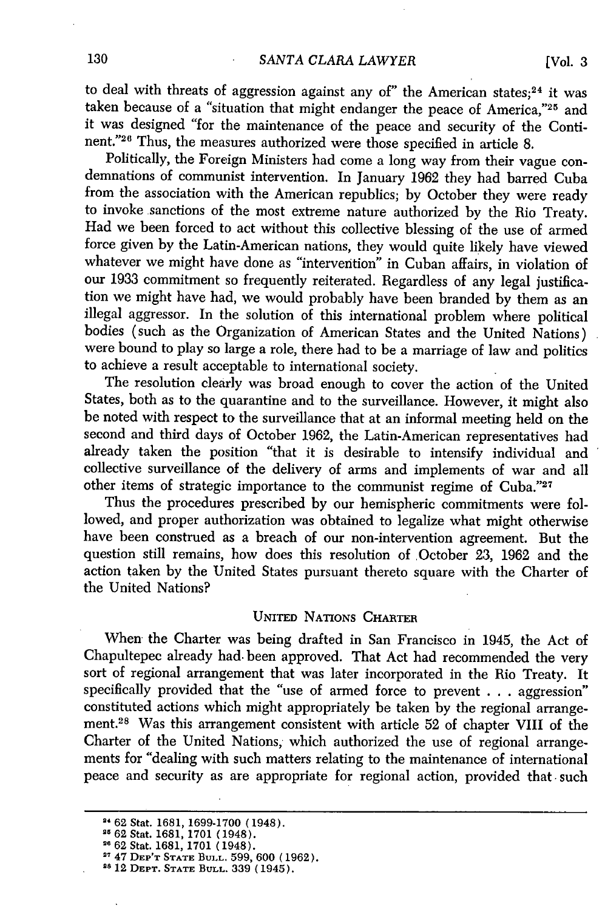to deal with threats of aggression against any of" the American states; $24$  it was taken because of a "situation that might endanger the peace of America,"25 and it was designed "for the maintenance of the peace and security of the Continent."<sup>26</sup> Thus, the measures authorized were those specified in article 8.

Politically, the Foreign Ministers had come a long way from their vague condemnations of communist intervention. In January 1962 they had barred Cuba from the association with the American republics; by October they were ready to invoke sanctions of the most extreme nature authorized by the Rio Treaty. Had we been forced to act without this collective blessing of the use of armed force given by the Latin-American nations, they would quite likely have viewed whatever we might have done as "intervention" in Cuban affairs, in violation of our 1933 commitment so frequently reiterated. Regardless of any legal justification we might have had, we would probably have been branded by them as an illegal aggressor. In the solution of this international problem where political bodies (such as the Organization of American States and the United Nations) were bound to play so large a role, there had to be a marriage of law and politics to achieve a result acceptable to international society.

The resolution clearly was broad enough to cover the action of the United States, both as to the quarantine and to the surveillance. However, it might also be noted with respect to the surveillance that at an informal meeting held on the second and third days of October 1962, the Latin-American representatives had already taken the position "that it is desirable to intensify individual and collective surveillance of the delivery of arms and implements of war and all other items of strategic importance to the communist regime of **Cuba.."27**

Thus the procedures prescribed by our hemispheric commitments were followed, and proper authorization was obtained to legalize what might otherwise have been construed as a breach of our non-intervention agreement. But the question still remains, how does this resolution of October 23, 1962 and the action taken by the United States pursuant thereto square with the Charter of the United Nations?

#### UNITED NATIONS **CHARTER**

When the Charter was being drafted in San Francisco in 1945, the Act of Chapultepec already had. been approved. That Act had recommended the very sort of regional arrangement that was later incorporated in the Rio Treaty. It specifically provided that the "use of armed force to prevent . . **.** aggression" constituted actions which might appropriately be taken by the regional arrangement.28 Was this arrangement consistent with article 52 of chapter VIII of the Charter of the United Nations, which authorized the use of regional arrangements for "dealing with such matters relating to the maintenance of international peace and security as are appropriate for regional action, provided that such

**<sup>2 62</sup> Stat. 1681, 1699-1700** (1948).

<sup>25</sup>**62** Stat. **1681, 1701** (1948). **<sup>26</sup>62** Stat. **1681, 1701** (1948).

**<sup>27</sup>**47 DEP'T **STATE BULL. 599, 600 (1962). <sup>28</sup>**12 **DEPT. STATE BULL. 339 (1945).**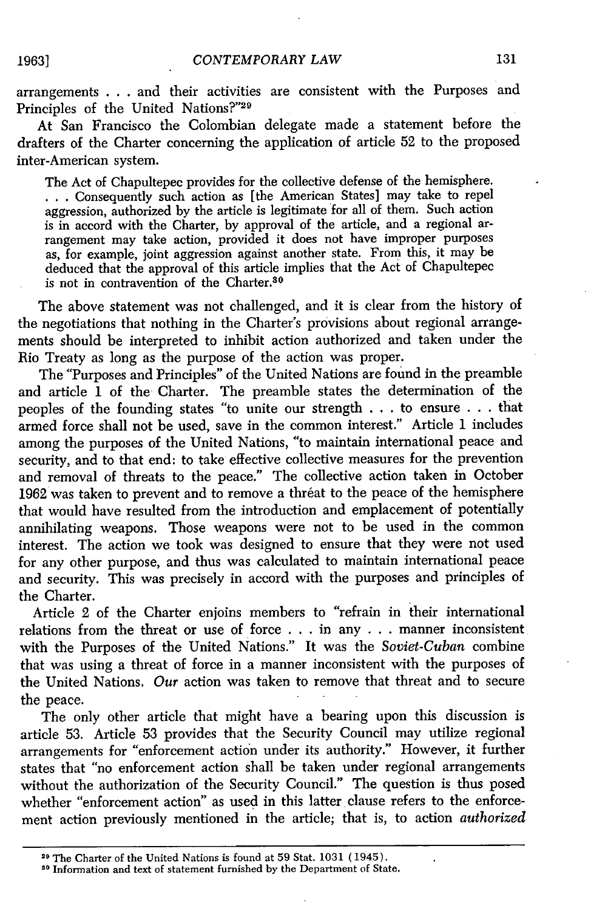arrangements **. . .** and their activities are consistent with the Purposes and Principles of the United Nations?"29

At San Francisco the Colombian delegate made a statement before the drafters of the Charter concerning the application of article 52 to the proposed inter-American system.

The Act of Chapultepec provides for the collective defense of the hemisphere. **. ..**Consequently such action as [the American States] may take to repel aggression, authorized by the article is legitimate for all of them. Such action is in accord with the Charter, by approval of the article, and a regional arrangement may take action, provided it does not have improper purposes as, for example, joint aggression against another state. From this, it may be deduced that the approval of this article implies that the Act of Chapultepec is not in contravention of the Charter.<sup>30</sup>

The above statement was not challenged, and it is clear from the history of the negotiations that nothing in the Charter's provisions about regional arrangements should be interpreted to inhibit action authorized and taken under the Rio Treaty as long as the purpose of the action was proper.

The "Purposes and Principles" of the United Nations are found in the preamble and article 1 of the Charter. The preamble states the determination of the peoples of the founding states "to unite our strength .. .to ensure . ..that armed force shall not be used, save in the common interest." Article **1** includes among the purposes of the United Nations, "to maintain international peace and security, and to that end: to take effective collective measures for the prevention and removal of threats to the peace." The collective action taken in October 1962 was taken to prevent and to remove a threat to the peace of the hemisphere that would have resulted from the introduction and emplacement of potentially annihilating weapons. Those weapons were not to be used in the common interest. The action we took was designed to ensure that they were not used for any other purpose, and thus was calculated to maintain international peace and security. This was precisely in accord with the purposes and principles of the Charter.

Article 2 of the Charter enjoins members to "refrain in their international relations from the threat or use of force . . . in any . . . manner inconsistent with the Purposes of the United Nations." It was the *Soviet-Cuban* combine that was using a threat of force in a manner inconsistent with the purposes of the United Nations. *Our* action was taken to remove that threat and to secure the peace.

The only other article that might have a bearing upon this discussion is article 53. Article 53 provides that the Security Council may utilize regional arrangements for "enforcement action under its authority." However, it further states that "no enforcement action shall be taken under regional arrangements without the authorization of the Security Council." The question is thus posed whether "enforcement action" as used in this latter clause refers to the enforcement action previously mentioned in the article; that is, to action *authorized*

<sup>29</sup>The Charter of the United Nations is found at 59 Stat. 1031 (1945).

**<sup>30</sup>**Information and text of statement furnished by the Department of State.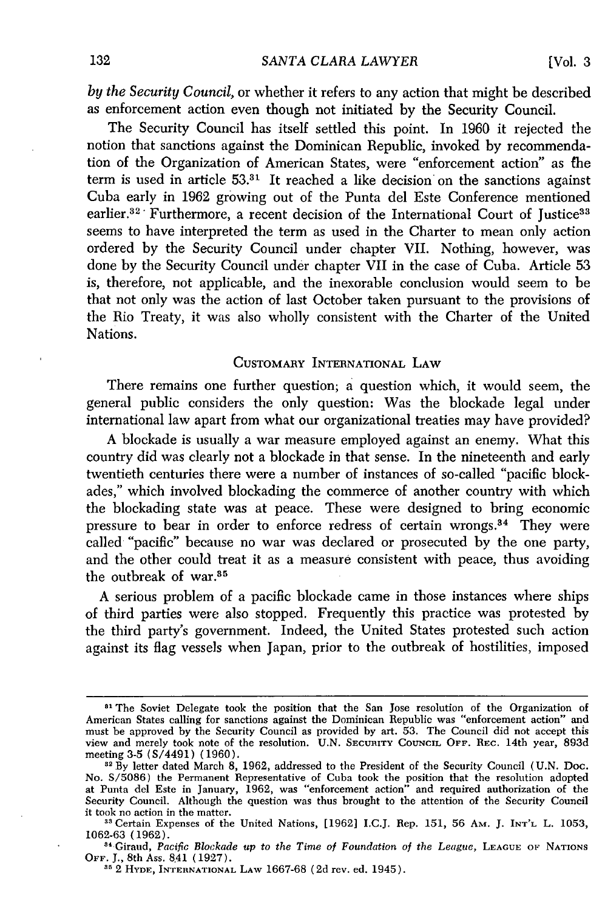*by the Security Council,* or whether it refers to any action that might be described as enforcement action even though not initiated by the Security Council.

The Security Council has itself settled this point. In 1960 it rejected the notion that sanctions against the Dominican Republic, invoked by recommendation of the Organization of American States, were "enforcement action" as the term is used in article **53.31** It reached a like decision on the sanctions against Cuba early in 1962 growing out of the Punta del Este Conference mentioned earlier.<sup>32</sup> Furthermore, a recent decision of the International Court of Justice<sup>33</sup> seems to have interpreted the term as used in the Charter to mean only action ordered by the Security Council under chapter VII. Nothing, however, was done by the Security Council under chapter VII in the case of Cuba. Article 53 is, therefore, not applicable, and the inexorable conclusion would seem to be that not only was the action of last October taken pursuant to the provisions of the Rio Treaty, it was also wholly consistent with the Charter of the United Nations.

#### CUSTOMARY INTERNATIONAL LAW

There remains one further question; a question which, it would seem, the general public considers the only question: Was the blockade legal under international law apart from what our organizational treaties may have provided?

A blockade is usually a war measure employed against an enemy. What this country did was clearly not a blockade in that sense. In the nineteenth and early twentieth centuries there were a number of instances of so-called "pacific blockades," which involved blockading the commerce of another country with which the blockading state was at peace. These were designed to bring economic pressure to bear in order to enforce redress of certain wrongs.<sup>34</sup> They were called "pacific" because no war was declared or prosecuted by the one party, and the other could treat it as a measure consistent with peace, thus avoiding the outbreak of war.<sup>35</sup>

A serious problem of a pacific blockade came in those instances where ships of third parties were also stopped. Frequently this practice was protested by the third party's government. Indeed, the United States protested such action against its flag vessels when Japan, prior to the outbreak of hostilities, imposed

<sup>&</sup>lt;sup>81</sup> The Soviet Delegate took the position that the San Jose resolution of the Organization of American States calling for sanctions against the Dominican Republic was "enforcement action" and must be approved by the Security Council as provided by art. 53. The Council did not accept this view and merely took note of the resolution. U.N. SECURITY **COUNCIL OFF.** REc. 14th year, 893d meeting 3-5 (S/4491) (1960).

**<sup>32</sup>**By letter dated March 8, 1962, addressed to the President of the Security Council (U.N. Doc. No. S/5086) the Permanent Representative of Cuba took the position that the resolution adopted at Punta del Este in January, 1962, was "enforcement action" and required authorization of the Security Council. Although the question was thus brought to the attention of the Security Council it took no action in the matter.

**<sup>&</sup>quot;8** Certain Expenses of the United Nations, [1962] I.C.J. Rep. 151, 56 AM. J. **INT'L** L. 1053, 1062-63 (1962).

<sup>&</sup>lt;sup>84</sup> Giraud, Pacific Blockade up to the Time of Foundation of the League, LEAGUE OF NATIONS OFF. J., 8th Ass. 841 (1927).

**<sup>35</sup>**2 **HYDE, INTERNATIONAL LAW** 1667-68 (2d rev. ed. 1945).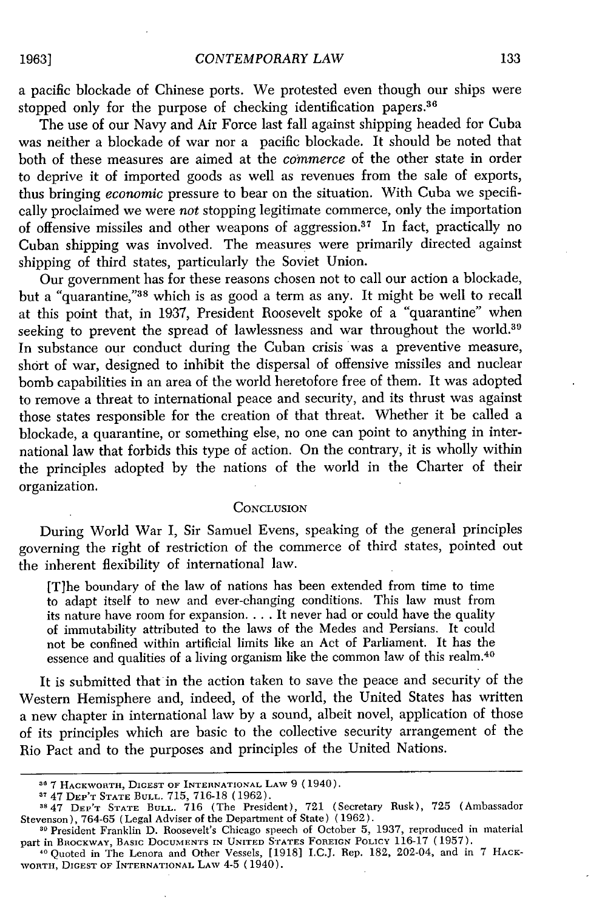a pacific blockade of Chinese ports. We protested even though our ships were stopped only for the purpose of checking identification papers.<sup>36</sup>

The use of our Navy and Air Force last fall against shipping headed for Cuba was neither a blockade of war nor a pacific blockade. It should be noted that both of these measures are aimed at the *commerce* of the other state in order to deprive it of imported goods as well as revenues from the sale of exports, thus bringing *economic* pressure to bear on the situation. With Cuba we specifically proclaimed we were *not* stopping legitimate commerce, only the importation of offensive missiles and other weapons of aggression.<sup>37</sup> In fact, practically no Cuban shipping was involved. The measures were primarily directed against shipping of third states, particularly the Soviet Union.

Our government has for these reasons chosen not to call our action a blockade, but a "quarantine,"38 which is as good a term as any. It might be well to recall at this point that, in 1937, President Roosevelt spoke of a "quarantine" when seeking to prevent the spread of lawlessness and war throughout the world.<sup>39</sup> In substance our conduct during the Cuban crisis was a preventive measure, short of war, designed to inhibit the dispersal of offensive missiles and nuclear bomb capabilities in an area of the world heretofore free of them. It was adopted to remove a threat to international peace and security, and its thrust was against those states responsible for the creation of that threat. Whether it be called a blockade, a quarantine, or something else, no one can point to anything in international law that forbids this type of action. On the contrary, it is wholly within the principles adopted by the nations of the world in the Charter of their organization.

#### **CONCLUSION**

During World War I, Sir Samuel Evens, speaking of the general principles governing the right of restriction of the commerce of third states, pointed out the inherent flexibility of international law.

[T]he boundary of the law of nations has been extended from time to time to adapt itself to new and ever-changing conditions. This law must from its nature have room for expansion **....** It never had or could have the quality of immutability attributed to the laws of the Medes and Persians. It could not be confined within artificial limits like an Act of Parliament. It has the essence and qualities of a living organism like the common law of this realm. <sup>40</sup>

It is submitted that in the action taken to save the peace and security of the Western Hemisphere and, indeed, of the world, the United States has written a new chapter in international law by a sound, albeit novel, application of those of its principles which are basic to the collective security arrangement of the Rio Pact and to the purposes and principles of the United Nations.

<sup>&</sup>lt;sup>30</sup> 7 Hackworth, Digest of International Law 9 (1940)<br><sup>37</sup> 47 Dep't State Bull. 715, 716-18 (1962).

<sup>&</sup>lt;sup>38</sup> 47 DEP'T STATE BULL. 716 (The President), 721 (Secretary Rusk), 725 (Ambassado<br>Stevenson), 764-65 (Legal Adviser of the Department of State) (1962).

**<sup>11</sup>** President Franklin D. Roosevelt's Chicago speech of October 5, 1937, reproduced in material part in BROCKWAY, BASIC DOCUMENTS **IN** UNITED STATES FOREIGN POLICY 116-17 (1957).

**<sup>10</sup>** Quoted in The Lenora and Other Vessels, [1918] I.C.J. Rep. 182, 202-04, and in 7 HACK-WORTH, DIGEST **OF** INTERNATIONAL LAW 4-5 (1940).